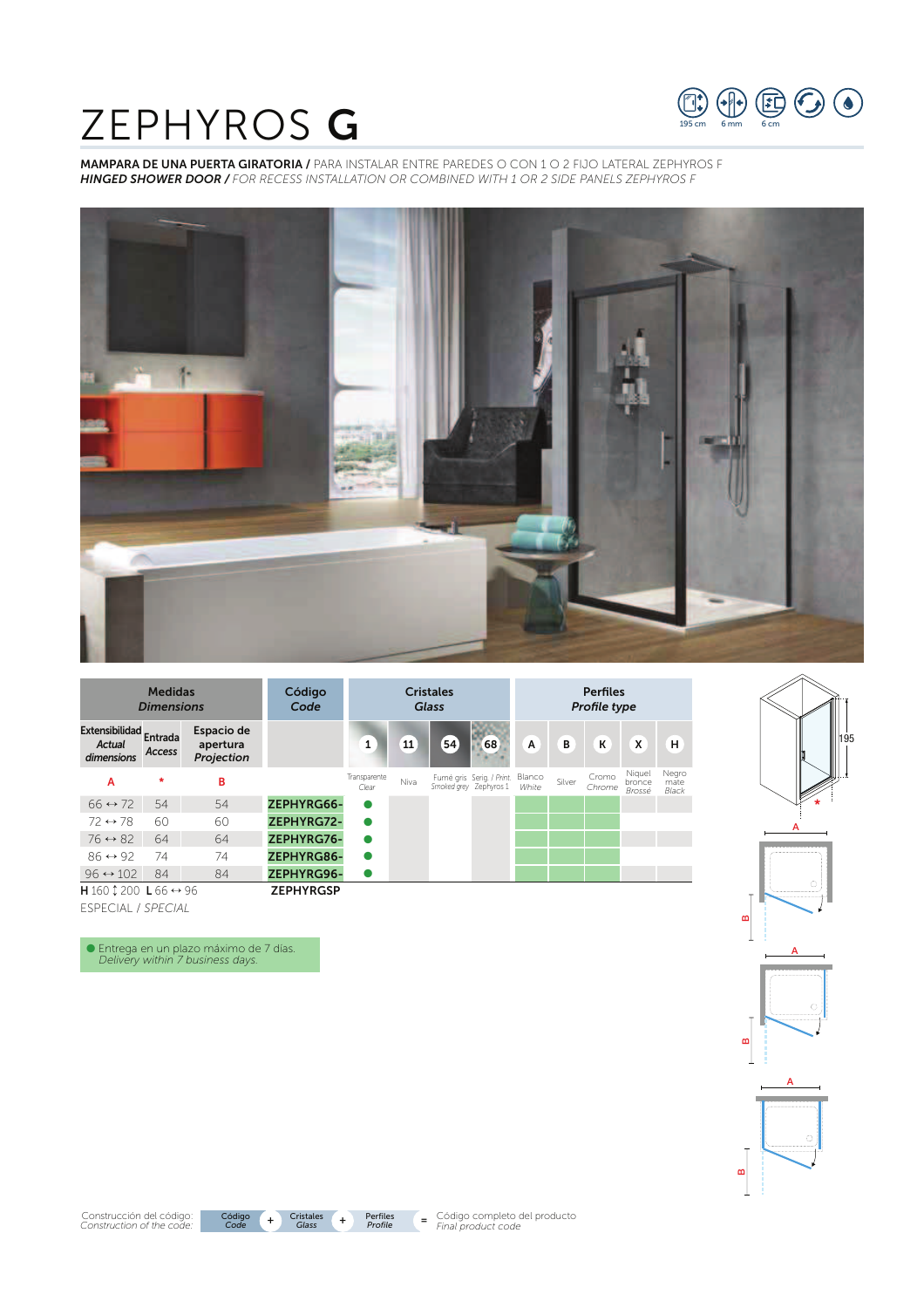# ZEPHYROS G



MAMPARA DE UNA PUERTA GIRATORIA / PARA INSTALAR ENTRE PAREDES O CON 1 O 2 FIJO LATERAL ZEPHYROS F *HINGED SHOWER DOOR / FOR RECESS INSTALLATION OR COMBINED WITH 1 OR 2 SIDE PANELS ZEPHYROS F*





O Entrega en un plazo máximo de 7 días. *Delivery within 7 business days.*



Código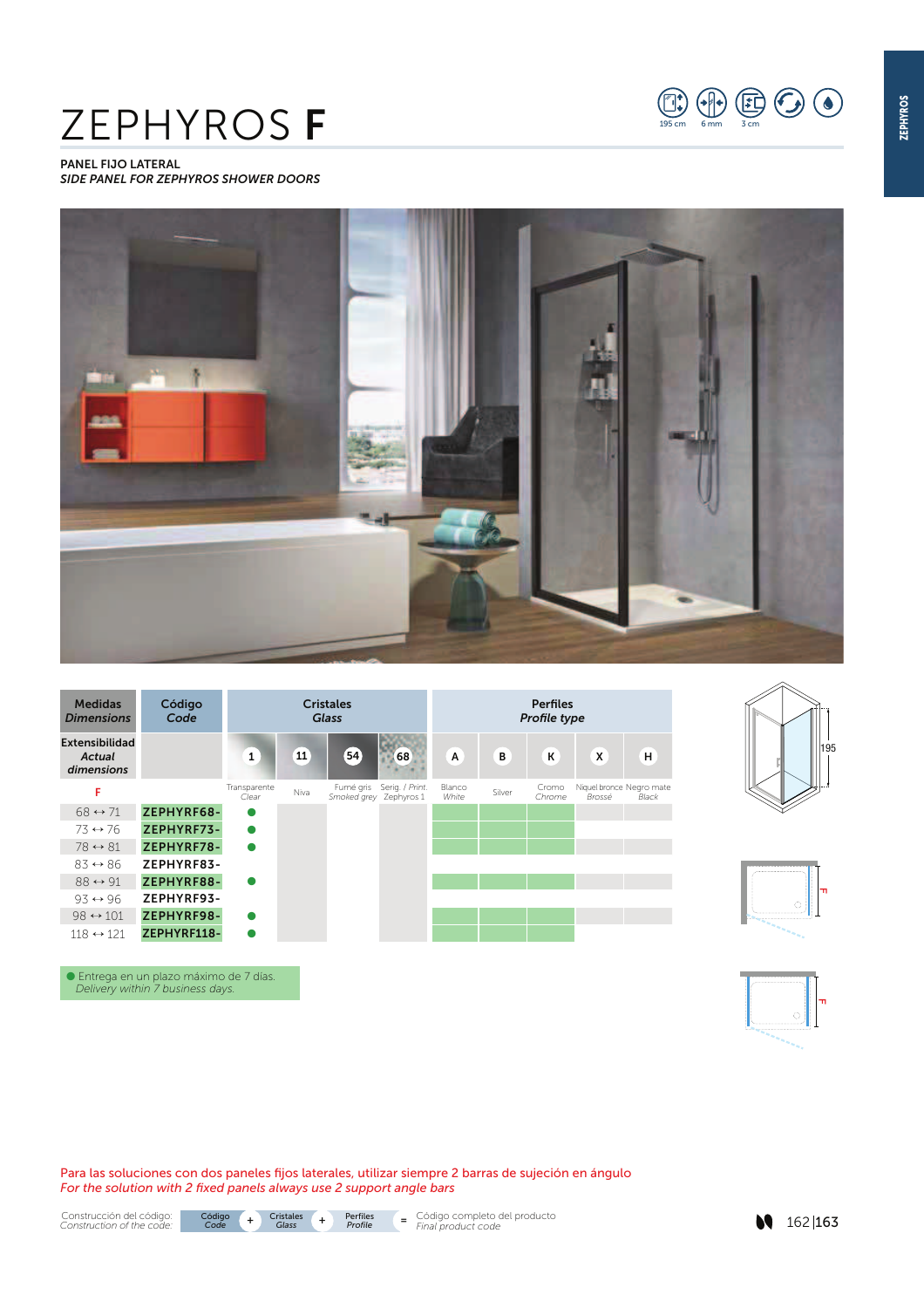# ZEPHYROS F







O Entrega en un plazo máximo de 7 días. *Delivery within 7 business days.*

Para las soluciones con dos paneles fijos laterales, utilizar siempre 2 barras de sujeción en ángulo *For the solution with 2 fixed panels always use 2 support angle bars*









 $\bigoplus_{n\leq m}\bigoplus_{n\leq m}\bigoplus_{3\leq m}\bigoplus\bigoplus$ 







162 163